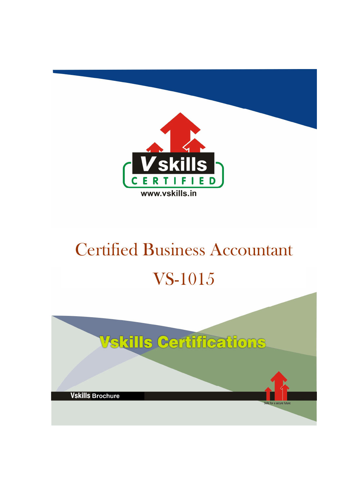

# Certified Business Accountant VS-1015

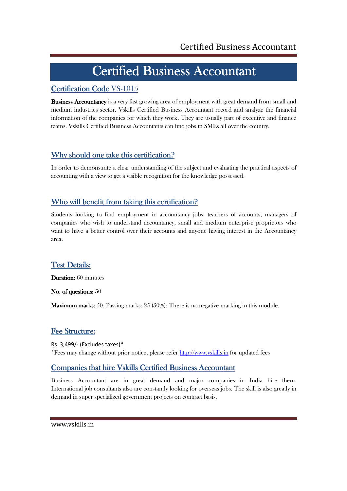# Certified Business Accountant

# Certification Code VS-1015

**Business Accountancy** is a very fast growing area of employment with great demand from small and medium industries sector. Vskills Certified Business Accountant record and analyze the financial information of the companies for which they work. They are usually part of executive and finance teams. Vskills Certified Business Accountants can find jobs in SMEs all over the country.

# Why should one take this certification?

In order to demonstrate a clear understanding of the subject and evaluating the practical aspects of accounting with a view to get a visible recognition for the knowledge possessed.

# Who will benefit from taking this certification?

Students looking to find employment in accountancy jobs, teachers of accounts, managers of companies who wish to understand accountancy, small and medium enterprise proprietors who want to have a better control over their accounts and anyone having interest in the Accountancy area.

# **Test Details:**

Duration: 60 minutes

No. of questions: 50

**Maximum marks:** 50, Passing marks:  $25$  (50%); There is no negative marking in this module.

# Fee Structure:

Rs. 3,499/- (Excludes taxes)\* \*Fees may change without prior notice, please refer http://www.vskills.in for updated fees

# Companies that hire Vskills Certified Business Accountant

Business Accountant are in great demand and major companies in India hire them. International job consultants also are constantly looking for overseas jobs. The skill is also greatly in demand in super specialized government projects on contract basis.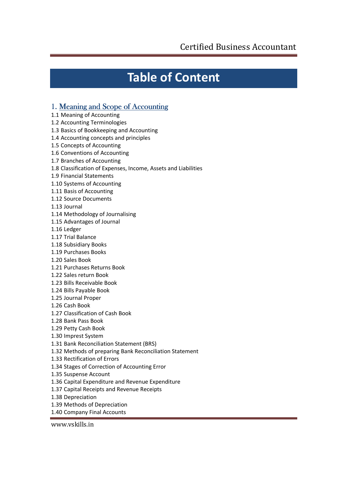# **Table of Content**

# 1. Meaning and Scope of Accounting

- 1.1 Meaning of Accounting
- 1.2 Accounting Terminologies
- 1.3 Basics of Bookkeeping and Accounting
- 1.4 Accounting concepts and principles
- 1.5 Concepts of Accounting
- 1.6 Conventions of Accounting
- 1.7 Branches of Accounting
- 1.8 Classification of Expenses, Income, Assets and Liabilities
- 1.9 Financial Statements
- 1.10 Systems of Accounting
- 1.11 Basis of Accounting
- 1.12 Source Documents
- 1.13 Journal
- 1.14 Methodology of Journalising
- 1.15 Advantages of Journal
- 1.16 Ledger
- 1.17 Trial Balance
- 1.18 Subsidiary Books
- 1.19 Purchases Books
- 1.20 Sales Book
- 1.21 Purchases Returns Book
- 1.22 Sales return Book
- 1.23 Bills Receivable Book
- 1.24 Bills Payable Book
- 1.25 Journal Proper
- 1.26 Cash Book
- 1.27 Classification of Cash Book
- 1.28 Bank Pass Book
- 1.29 Petty Cash Book
- 1.30 Imprest System
- 1.31 Bank Reconciliation Statement (BRS)
- 1.32 Methods of preparing Bank Reconciliation Statement
- 1.33 Rectification of Errors
- 1.34 Stages of Correction of Accounting Error
- 1.35 Suspense Account
- 1.36 Capital Expenditure and Revenue Expenditure
- 1.37 Capital Receipts and Revenue Receipts
- 1.38 Depreciation
- 1.39 Methods of Depreciation
- 1.40 Company Final Accounts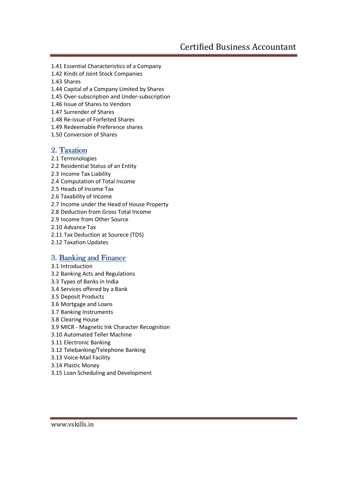- 1.41 Essential Characteristics of a Company
- 1.42 Kinds of Joint Stock Companies
- 1.43 Shares
- 1.44 Capital of a Company Limited by Shares
- 1.45 Over-subscription and Under-subscription
- 1.46 Issue of Shares to Vendors
- 1.47 Surrender of Shares
- 1.48 Re-issue of Forfeited Shares
- 1.49 Redeemable Preference shares
- 1.50 Conversion of Shares

# 2. Taxation

- 2.1 Terminologies
- 2.2 Residential Status of an Entity
- 2.3 Income Tax Liability
- 2.4 Computation of Total Income
- 2.5 Heads of Income Tax
- 2.6 Taxability of Income
- 2.7 Income under the Head of House Property
- 2.8 Deduction from Gross Total Income
- 2.9 Income from Other Source
- 2.10 Advance Tax
- 2.11 Tax Deduction at Sourece (TDS)
- 2.12 Taxation Updates

# 3. Banking and Finance

- 3.1 Introduction
- 3.2 Banking Acts and Regulations
- 3.3 Types of Banks in India
- 3.4 Services offered by a Bank
- 3.5 Deposit Products
- 3.6 Mortgage and Loans
- 3.7 Banking Instruments
- 3.8 Clearing House
- 3.9 MICR Magnetic Ink Character Recognition
- 3.10 Automated Teller Machine
- 3.11 Electronic Banking
- 3.12 Telebanking/Telephone Banking
- 3.13 Voice-Mail Facility
- 3.14 Plastic Money
- 3.15 Loan Scheduling and Development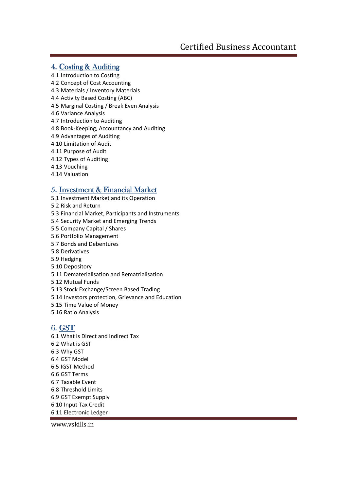# 4. Costing & Auditing

4.1 Introduction to Costing

- 4.2 Concept of Cost Accounting
- 4.3 Materials / Inventory Materials
- 4.4 Activity Based Costing (ABC)
- 4.5 Marginal Costing / Break Even Analysis
- 4.6 Variance Analysis
- 4.7 Introduction to Auditing
- 4.8 Book-Keeping, Accountancy and Auditing
- 4.9 Advantages of Auditing
- 4.10 Limitation of Audit
- 4.11 Purpose of Audit
- 4.12 Types of Auditing
- 4.13 Vouching
- 4.14 Valuation

# 5. Investment & Financial Market

- 5.1 Investment Market and its Operation
- 5.2 Risk and Return
- 5.3 Financial Market, Participants and Instruments
- 5.4 Security Market and Emerging Trends
- 5.5 Company Capital / Shares
- 5.6 Portfolio Management
- 5.7 Bonds and Debentures
- 5.8 Derivatives
- 5.9 Hedging
- 5.10 Depository
- 5.11 Dematerialisation and Rematrialisation
- 5.12 Mutual Funds
- 5.13 Stock Exchange/Screen Based Trading
- 5.14 Investors protection, Grievance and Education
- 5.15 Time Value of Money
- 5.16 Ratio Analysis

# 6. GST

6.1 What is Direct and Indirect Tax 6.2 What is GST 6.3 Why GST 6.4 GST Model 6.5 IGST Method 6.6 GST Terms 6.7 Taxable Event 6.8 Threshold Limits 6.9 GST Exempt Supply 6.10 Input Tax Credit 6.11 Electronic Ledger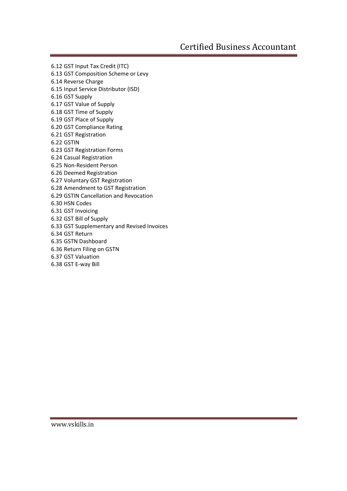6.12 GST Input Tax Credit (ITC)

- 6.13 GST Composition Scheme or Levy
- 6.14 Reverse Charge 6.15 Input Service Distributor (ISD)
- 6.16 GST Supply
- 6.17 GST Value of Supply
- 6.18 GST Time of Supply
- 6.19 GST Place of Supply
- 6.20 GST Compliance Rating
- 6.21 GST Registration
- 6.22 GSTIN
- 6.23 GST Registration Forms
- 6.24 Casual Registration
- 6.25 Non-Resident Person
- 6.26 Deemed Registration
- 6.27 Voluntary GST Registration
- 6.28 Amendment to GST Registration
- 6.29 GSTIN Cancellation and Revocation
- 6.30 HSN Codes
- 6.31 GST Invoicing
- 6.32 GST Bill of Supply
- 6.33 GST Supplementary and Revised Invoices
- 6.34 GST Return
- 6.35 GSTN Dashboard
- 6.36 Return Filing on GSTN
- 6.37 GST Valuation
- 6.38 GST E-way Bill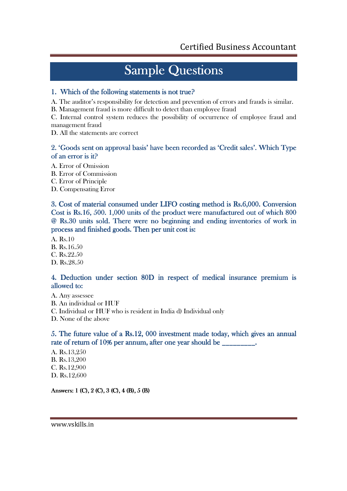# **Sample Questions**

## 1. Which of the following statements is not true?

A. The auditor's responsibility for detection and prevention of errors and frauds is similar.

B. Management fraud is more difficult to detect than employee fraud

C. Internal control system reduces the possibility of occurrence of employee fraud and management fraud

D. All the statements are correct

## 2. 'Goods sent on approval basis' have been recorded as 'Credit sales'. Which Type of an error is it?

A. Error of Omission

- B. Error of Commission
- C. Error of Principle
- D. Compensating Error

3. Cost of material consumed under LIFO costing method is Rs.6,000. Conversion Cost is Rs.16, 500. 1,000 units of the product were manufactured out of which 800  $@$  Rs.30 units sold. There were no beginning and ending inventories of work in process and finished goods. Then per unit cost is:

A. Rs.10 B. Rs.16.50 C. Rs.22.50 D. Rs.28.50

## 4. Deduction under section 80D in respect of medical insurance premium is allowed to:

A. Any assessee B. An individual or HUF C. Individual or HUF who is resident in India d) Individual only D. None of the above

5. The future value of a Rs.12, 000 investment made today, which gives an annual rate of return of 10% per annum, after one year should be \_\_\_\_\_\_\_\_\_.

A. Rs.13,250 B. Rs.13,200 C. Rs.12,900 D. Rs.12,600

Answers:  $1$  (C),  $2$  (C),  $3$  (C),  $4$  (B),  $5$  (B)